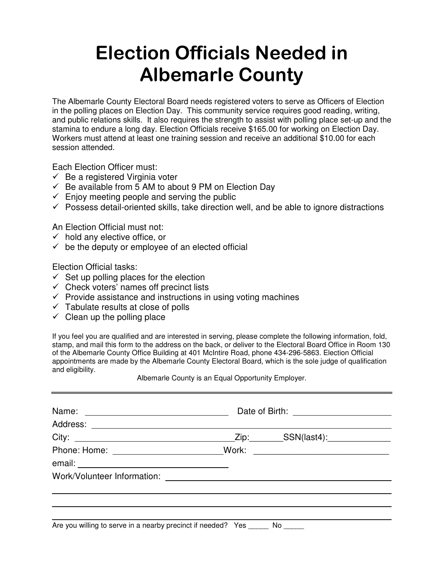## **Election Officials Needed in Albemarle County**

The Albemarle County Electoral Board needs registered voters to serve as Officers of Election in the polling places on Election Day. This community service requires good reading, writing, and public relations skills. It also requires the strength to assist with polling place set-up and the stamina to endure a long day. Election Officials receive \$165.00 for working on Election Day. Workers must attend at least one training session and receive an additional \$10.00 for each session attended.

Each Election Officer must:

- $\checkmark$  Be a registered Virginia voter
- $\checkmark$  Be available from 5 AM to about 9 PM on Election Day
- $\checkmark$  Enjoy meeting people and serving the public
- $\checkmark$  Possess detail-oriented skills, take direction well, and be able to ignore distractions

An Election Official must not:

- $\checkmark$  hold any elective office, or
- $\checkmark$  be the deputy or employee of an elected official

Election Official tasks:

- $\checkmark$  Set up polling places for the election
- $\checkmark$  Check voters' names off precinct lists
- $\checkmark$  Provide assistance and instructions in using voting machines
- $\checkmark$  Tabulate results at close of polls
- $\checkmark$  Clean up the polling place

If you feel you are qualified and are interested in serving, please complete the following information, fold, stamp, and mail this form to the address on the back, or deliver to the Electoral Board Office in Room 130 of the Albemarle County Office Building at 401 McIntire Road, phone 434-296-5863. Election Official appointments are made by the Albemarle County Electoral Board, which is the sole judge of qualification and eligibility.

Albemarle County is an Equal Opportunity Employer.

| Phone: Home: __________________________________Work: |  | <u> 1989 - Andrea Station Barbara, amerikan personal di personal dengan personal dengan personal dengan personal </u> |  |
|------------------------------------------------------|--|-----------------------------------------------------------------------------------------------------------------------|--|
|                                                      |  |                                                                                                                       |  |
|                                                      |  |                                                                                                                       |  |
|                                                      |  |                                                                                                                       |  |
|                                                      |  |                                                                                                                       |  |
|                                                      |  |                                                                                                                       |  |

Are you willing to serve in a nearby precinct if needed? Yes \_\_\_\_\_\_ No \_\_\_\_